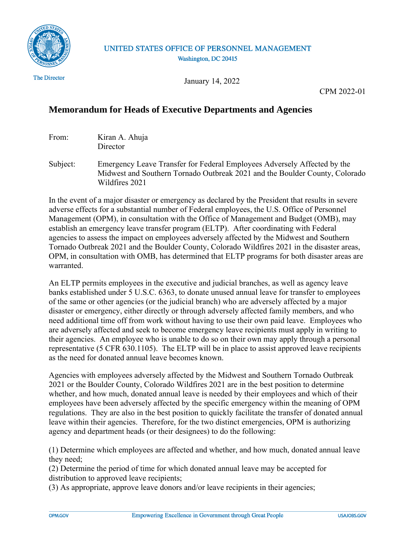

### UNITED STATES OFFICE OF PERSONNEL MANAGEMENT Washington, DC 20415

January 14, 2022

CPM 2022-01

# **Memorandum for Heads of Executive Departments and Agencies**

| From: | Kiran A. Ahuja |
|-------|----------------|
|       | Director       |

Subject: Emergency Leave Transfer for Federal Employees Adversely Affected by the Midwest and Southern Tornado Outbreak 2021 and the Boulder County, Colorado Wildfires 2021

In the event of a major disaster or emergency as declared by the President that results in severe adverse effects for a substantial number of Federal employees, the U.S. Office of Personnel Management (OPM), in consultation with the Office of Management and Budget (OMB), may establish an emergency leave transfer program (ELTP). After coordinating with Federal agencies to assess the impact on employees adversely affected by the Midwest and Southern Tornado Outbreak 2021 and the Boulder County, Colorado Wildfires 2021 in the disaster areas, OPM, in consultation with OMB, has determined that ELTP programs for both disaster areas are warranted.

An ELTP permits employees in the executive and judicial branches, as well as agency leave banks established under 5 U.S.C. 6363, to donate unused annual leave for transfer to employees of the same or other agencies (or the judicial branch) who are adversely affected by a major disaster or emergency, either directly or through adversely affected family members, and who need additional time off from work without having to use their own paid leave. Employees who are adversely affected and seek to become emergency leave recipients must apply in writing to their agencies. An employee who is unable to do so on their own may apply through a personal representative (5 CFR 630.1105). The ELTP will be in place to assist approved leave recipients as the need for donated annual leave becomes known.

Agencies with employees adversely affected by the Midwest and Southern Tornado Outbreak 2021 or the Boulder County, Colorado Wildfires 2021 are in the best position to determine whether, and how much, donated annual leave is needed by their employees and which of their employees have been adversely affected by the specific emergency within the meaning of OPM regulations. They are also in the best position to quickly facilitate the transfer of donated annual leave within their agencies. Therefore, for the two distinct emergencies, OPM is authorizing agency and department heads (or their designees) to do the following:

(1) Determine which employees are affected and whether, and how much, donated annual leave they need;

(2) Determine the period of time for which donated annual leave may be accepted for distribution to approved leave recipients;

(3) As appropriate, approve leave donors and/or leave recipients in their agencies;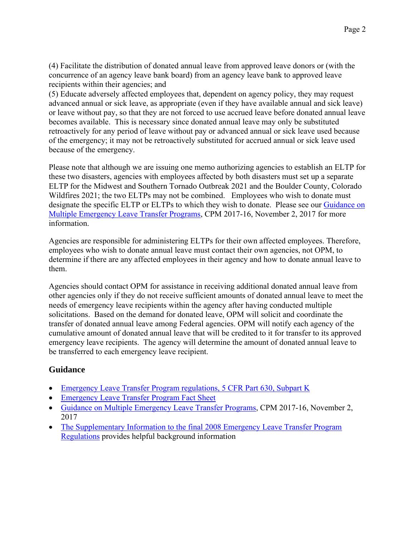(4) Facilitate the distribution of donated annual leave from approved leave donors or (with the concurrence of an agency leave bank board) from an agency leave bank to approved leave recipients within their agencies; and

(5) Educate adversely affected employees that, dependent on agency policy, they may request advanced annual or sick leave, as appropriate (even if they have available annual and sick leave) or leave without pay, so that they are not forced to use accrued leave before donated annual leave becomes available. This is necessary since donated annual leave may only be substituted retroactively for any period of leave without pay or advanced annual or sick leave used because of the emergency; it may not be retroactively substituted for accrued annual or sick leave used because of the emergency.

Please note that although we are issuing one memo authorizing agencies to establish an ELTP for these two disasters, agencies with employees affected by both disasters must set up a separate ELTP for the Midwest and Southern Tornado Outbreak 2021 and the Boulder County, Colorado Wildfires 2021; the two ELTPs may not be combined.Employees who wish to donate must designate the specific ELTP or ELTPs to which they wish to donate. Please see our [Guidance on](https://chcoc.gov/content/guidance-multiple-emergency-leave-transfer-programs)  [Multiple Emergency Leave Transfer Programs,](https://chcoc.gov/content/guidance-multiple-emergency-leave-transfer-programs) CPM 2017-16, November 2, 2017 for more information.

Agencies are responsible for administering ELTPs for their own affected employees. Therefore, employees who wish to donate annual leave must contact their own agencies, not OPM, to determine if there are any affected employees in their agency and how to donate annual leave to them.

Agencies should contact OPM for assistance in receiving additional donated annual leave from other agencies only if they do not receive sufficient amounts of donated annual leave to meet the needs of emergency leave recipients within the agency after having conducted multiple solicitations. Based on the demand for donated leave, OPM will solicit and coordinate the transfer of donated annual leave among Federal agencies. OPM will notify each agency of the cumulative amount of donated annual leave that will be credited to it for transfer to its approved emergency leave recipients. The agency will determine the amount of donated annual leave to be transferred to each emergency leave recipient.

### **Guidance**

- [Emergency Leave Transfer Program regulations, 5 CFR Part 630, Subpart K](https://www.ecfr.gov/current/title-5/chapter-I/subchapter-B/part-630#subpart-K)
- [Emergency Leave Transfer Program Fact Sheet](https://www.opm.gov/policy-data-oversight/pay-leave/leave-administration/fact-sheets/emergency-leave-transfer-program/)
- [Guidance on Multiple Emergency Leave Transfer Programs,](https://chcoc.gov/content/guidance-multiple-emergency-leave-transfer-programs) CPM 2017-16, November 2, 2017
- [The Supplementary Information to the final 2008 Emergency Leave Transfer Program](http://www.gpo.gov/fdsys/pkg/FR-2008-11-04/pdf/E8-26220.pdf) [Regulations](http://www.gpo.gov/fdsys/pkg/FR-2008-11-04/pdf/E8-26220.pdf) provides helpful background information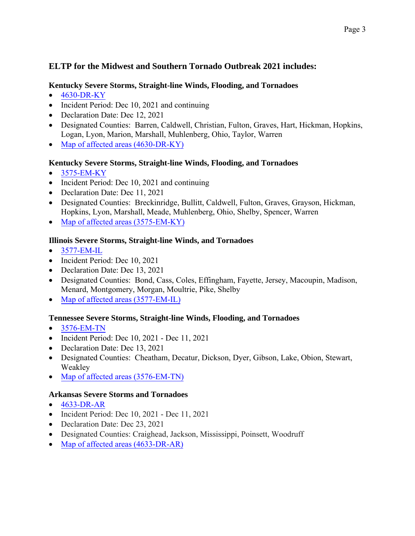# **ELTP for the Midwest and Southern Tornado Outbreak 2021 includes:**

## **Kentucky Severe Storms, Straight-line Winds, Flooding, and Tornadoes**

- [4630-DR-KY](https://www.fema.gov/disaster/4630)
- Incident Period: Dec 10, 2021 and continuing
- Declaration Date: Dec 12, 2021
- Designated Counties: Barren, Caldwell, Christian, Fulton, Graves, Hart, Hickman, Hopkins, Logan, Lyon, Marion, Marshall, Muhlenberg, Ohio, Taylor, Warren
- [Map of affected areas \(4630-DR-KY\)](https://gis.fema.gov/maps/dec_4630.pdf)

## **Kentucky Severe Storms, Straight-line Winds, Flooding, and Tornadoes**

- [3575-EM-KY](https://www.fema.gov/disaster/3575)
- Incident Period: Dec 10, 2021 and continuing
- Declaration Date: Dec 11, 2021
- Designated Counties: Breckinridge, Bullitt, Caldwell, Fulton, Graves, Grayson, Hickman, Hopkins, Lyon, Marshall, Meade, Muhlenberg, Ohio, Shelby, Spencer, Warren
- [Map of affected areas \(3575-EM-KY\)](https://gis.fema.gov/maps/em_3575.pdf)

## **Illinois Severe Storms, Straight-line Winds, and Tornadoes**

- [3577-EM-IL](https://www.fema.gov/disaster/3577)
- Incident Period: Dec 10, 2021
- Declaration Date: Dec 13, 2021
- Designated Counties: Bond, Cass, Coles, Effingham, Fayette, Jersey, Macoupin, Madison, Menard, Montgomery, Morgan, Moultrie, Pike, Shelby
- [Map of affected areas \(3577-EM-IL\)](https://gis.fema.gov/maps/em_3577.pdf)

## **Tennessee Severe Storms, Straight-line Winds, Flooding, and Tornadoes**

- [3576-EM-TN](https://www.fema.gov/disaster/3576)
- Incident Period: Dec 10, 2021 Dec 11, 2021
- Declaration Date: Dec 13, 2021
- Designated Counties: Cheatham, Decatur, Dickson, Dyer, Gibson, Lake, Obion, Stewart, Weakley
- [Map of affected areas](https://gis.fema.gov/maps/em_3576.pdf) (3576-EM-TN)

### **Arkansas Severe Storms and Tornadoes**

- [4633-DR-AR](https://www.fema.gov/disaster/4633)
- Incident Period: Dec 10, 2021 Dec 11, 2021
- Declaration Date: Dec 23, 2021
- Designated Counties: Craighead, Jackson, Mississippi, Poinsett, Woodruff
- [Map of affected areas \(4633-DR-AR\)](https://gis.fema.gov/maps/dec_4633.pdf)